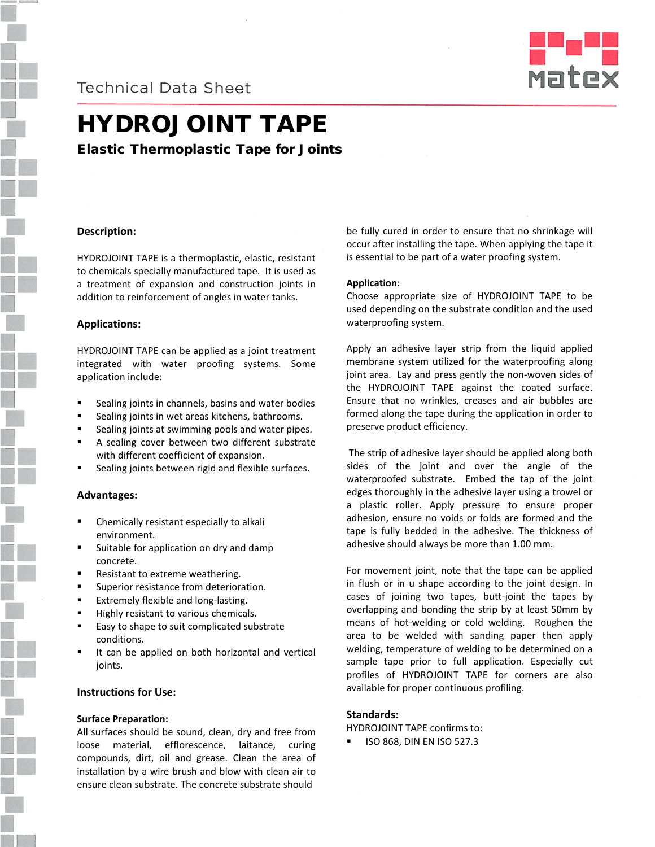**Technical Data Sheet** 



# HYDROJOINT TAPE

Elastic Thermoplastic Tape for Joints

# **Description:**

HYDROJOINT TAPE is a thermoplastic, elastic, resistant to chemicals specially manufactured tape. It is used as a treatment of expansion and construction joints in addition to reinforcement of angles in water tanks.

# **Applications:**

HYDROJOINT TAPE can be applied as a joint treatment integrated with water proofing systems. Some application include:

- Sealing joints in channels, basins and water bodies
- Sealing joints in wet areas kitchens, bathrooms.
- Sealing joints at swimming pools and water pipes.
- A sealing cover between two different substrate with different coefficient of expansion.
- Sealing joints between rigid and flexible surfaces.

#### **Advantages:**

- Chemically resistant especially to alkali environment.
- Suitable for application on dry and damp concrete.
- Resistant to extreme weathering.
- Superior resistance from deterioration.
- Extremely flexible and long-lasting.
- Highly resistant to various chemicals.
- Easy to shape to suit complicated substrate conditions.
- It can be applied on both horizontal and vertical joints.

### **Instructions for Use:**

#### **Surface Preparation:**

All surfaces should be sound, clean, dry and free from loose material, efflorescence, laitance, curing compounds, dirt, oil and grease. Clean the area of installation by a wire brush and blow with clean air to ensure clean substrate. The concrete substrate should

be fully cured in order to ensure that no shrinkage will occur after installing the tape. When applying the tape it is essential to be part of a water proofing system.

#### **Application**:

Choose appropriate size of HYDROJOINT TAPE to be used depending on the substrate condition and the used waterproofing system.

Apply an adhesive layer strip from the liquid applied membrane system utilized for the waterproofing along joint area. Lay and press gently the non-woven sides of the HYDROJOINT TAPE against the coated surface. Ensure that no wrinkles, creases and air bubbles are formed along the tape during the application in order to preserve product efficiency.

The strip of adhesive layer should be applied along both sides of the joint and over the angle of the waterproofed substrate. Embed the tap of the joint edges thoroughly in the adhesive layer using a trowel or a plastic roller. Apply pressure to ensure proper adhesion, ensure no voids or folds are formed and the tape is fully bedded in the adhesive. The thickness of adhesive should always be more than 1.00 mm.

For movement joint, note that the tape can be applied in flush or in u shape according to the joint design. In cases of joining two tapes, butt-joint the tapes by overlapping and bonding the strip by at least 50mm by means of hot-welding or cold welding. Roughen the area to be welded with sanding paper then apply welding, temperature of welding to be determined on a sample tape prior to full application. Especially cut profiles of HYDROJOINT TAPE for corners are also available for proper continuous profiling.

#### **Standards:**

HYDROJOINT TAPE confirms to:

ISO 868, DIN EN ISO 527.3